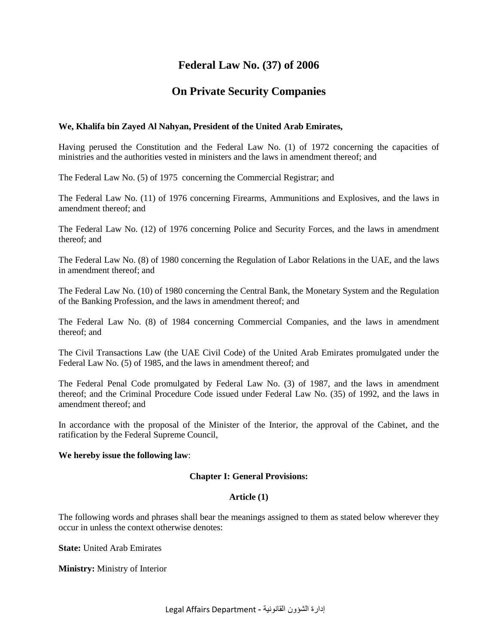# **Federal Law No. (37) of 2006**

# **On Private Security Companies**

# **We, Khalifa bin Zayed Al Nahyan, President of the United Arab Emirates,**

Having perused the Constitution and the Federal Law No. (1) of 1972 concerning the capacities of ministries and the authorities vested in ministers and the laws in amendment thereof; and

The Federal Law No. (5) of 1975 concerning the Commercial Registrar; and

The Federal Law No. (11) of 1976 concerning Firearms, Ammunitions and Explosives, and the laws in amendment thereof; and

The Federal Law No. (12) of 1976 concerning Police and Security Forces, and the laws in amendment thereof; and

The Federal Law No. (8) of 1980 concerning the Regulation of Labor Relations in the UAE, and the laws in amendment thereof; and

The Federal Law No. (10) of 1980 concerning the Central Bank, the Monetary System and the Regulation of the Banking Profession, and the laws in amendment thereof; and

The Federal Law No. (8) of 1984 concerning Commercial Companies, and the laws in amendment thereof; and

The Civil Transactions Law (the UAE Civil Code) of the United Arab Emirates promulgated under the Federal Law No. (5) of 1985, and the laws in amendment thereof; and

The Federal Penal Code promulgated by Federal Law No. (3) of 1987, and the laws in amendment thereof; and the Criminal Procedure Code issued under Federal Law No. (35) of 1992, and the laws in amendment thereof; and

In accordance with the proposal of the Minister of the Interior, the approval of the Cabinet, and the ratification by the Federal Supreme Council,

## **We hereby issue the following law**:

# **Chapter I: General Provisions:**

### **Article (1)**

The following words and phrases shall bear the meanings assigned to them as stated below wherever they occur in unless the context otherwise denotes:

**State:** United Arab Emirates

**Ministry:** Ministry of Interior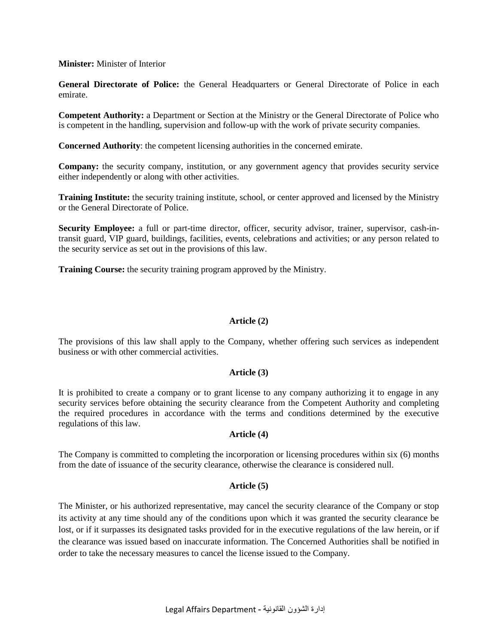## **Minister:** Minister of Interior

**General Directorate of Police:** the General Headquarters or General Directorate of Police in each emirate.

**Competent Authority:** a Department or Section at the Ministry or the General Directorate of Police who is competent in the handling, supervision and follow-up with the work of private security companies.

**Concerned Authority**: the competent licensing authorities in the concerned emirate.

**Company:** the security company, institution, or any government agency that provides security service either independently or along with other activities.

**Training Institute:** the security training institute, school, or center approved and licensed by the Ministry or the General Directorate of Police.

Security Employee: a full or part-time director, officer, security advisor, trainer, supervisor, cash-intransit guard, VIP guard, buildings, facilities, events, celebrations and activities; or any person related to the security service as set out in the provisions of this law.

**Training Course:** the security training program approved by the Ministry.

## **Article (2)**

The provisions of this law shall apply to the Company, whether offering such services as independent business or with other commercial activities.

### **Article (3)**

It is prohibited to create a company or to grant license to any company authorizing it to engage in any security services before obtaining the security clearance from the Competent Authority and completing the required procedures in accordance with the terms and conditions determined by the executive regulations of this law.

## **Article (4)**

The Company is committed to completing the incorporation or licensing procedures within six (6) months from the date of issuance of the security clearance, otherwise the clearance is considered null.

### **Article (5)**

The Minister, or his authorized representative, may cancel the security clearance of the Company or stop its activity at any time should any of the conditions upon which it was granted the security clearance be lost, or if it surpasses its designated tasks provided for in the executive regulations of the law herein, or if the clearance was issued based on inaccurate information. The Concerned Authorities shall be notified in order to take the necessary measures to cancel the license issued to the Company.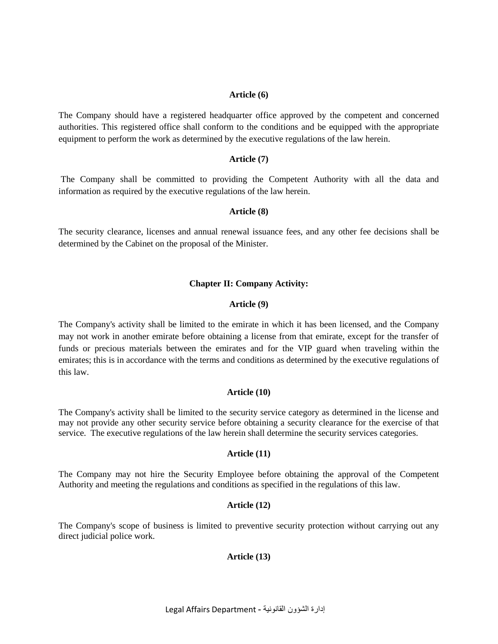### **Article (6)**

The Company should have a registered headquarter office approved by the competent and concerned authorities. This registered office shall conform to the conditions and be equipped with the appropriate equipment to perform the work as determined by the executive regulations of the law herein.

## **Article (7)**

The Company shall be committed to providing the Competent Authority with all the data and information as required by the executive regulations of the law herein.

## **Article (8)**

The security clearance, licenses and annual renewal issuance fees, and any other fee decisions shall be determined by the Cabinet on the proposal of the Minister.

# **Chapter II: Company Activity:**

## **Article (9)**

The Company's activity shall be limited to the emirate in which it has been licensed, and the Company may not work in another emirate before obtaining a license from that emirate, except for the transfer of funds or precious materials between the emirates and for the VIP guard when traveling within the emirates; this is in accordance with the terms and conditions as determined by the executive regulations of this law.

# **Article (10)**

The Company's activity shall be limited to the security service category as determined in the license and may not provide any other security service before obtaining a security clearance for the exercise of that service. The executive regulations of the law herein shall determine the security services categories.

# **Article (11)**

The Company may not hire the Security Employee before obtaining the approval of the Competent Authority and meeting the regulations and conditions as specified in the regulations of this law.

# **Article (12)**

The Company's scope of business is limited to preventive security protection without carrying out any direct judicial police work.

# **Article (13)**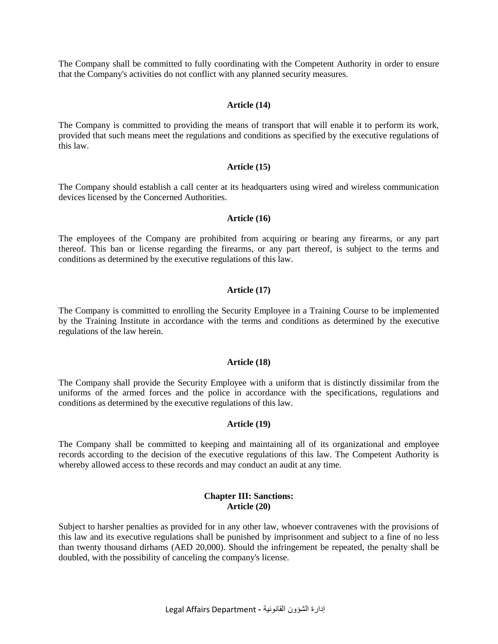The Company shall be committed to fully coordinating with the Competent Authority in order to ensure that the Company's activities do not conflict with any planned security measures.

### **Article (14)**

The Company is committed to providing the means of transport that will enable it to perform its work, provided that such means meet the regulations and conditions as specified by the executive regulations of this law.

#### **Article (15)**

The Company should establish a call center at its headquarters using wired and wireless communication devices licensed by the Concerned Authorities.

### **Article (16)**

The employees of the Company are prohibited from acquiring or bearing any firearms, or any part thereof. This ban or license regarding the firearms, or any part thereof, is subject to the terms and conditions as determined by the executive regulations of this law.

### **Article (17)**

The Company is committed to enrolling the Security Employee in a Training Course to be implemented by the Training Institute in accordance with the terms and conditions as determined by the executive regulations of the law herein.

### **Article (18)**

The Company shall provide the Security Employee with a uniform that is distinctly dissimilar from the uniforms of the armed forces and the police in accordance with the specifications, regulations and conditions as determined by the executive regulations of this law.

#### **Article (19)**

The Company shall be committed to keeping and maintaining all of its organizational and employee records according to the decision of the executive regulations of this law. The Competent Authority is whereby allowed access to these records and may conduct an audit at any time.

### **Chapter III: Sanctions: Article (20)**

Subject to harsher penalties as provided for in any other law, whoever contravenes with the provisions of this law and its executive regulations shall be punished by imprisonment and subject to a fine of no less than twenty thousand dirhams (AED 20,000). Should the infringement be repeated, the penalty shall be doubled, with the possibility of canceling the company's license.